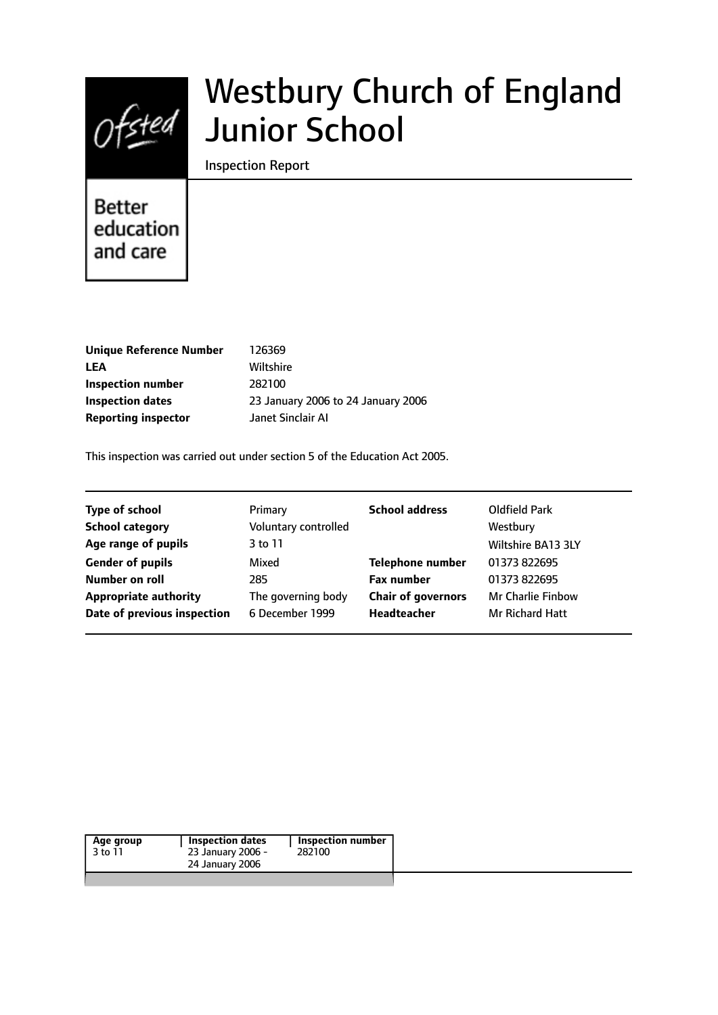

# Westbury Church of England Junior School

Inspection Report

# **Better** education and care

| 126369                             |
|------------------------------------|
| Wiltshire                          |
| 282100                             |
| 23 January 2006 to 24 January 2006 |
| Janet Sinclair Al                  |
|                                    |

This inspection was carried out under section 5 of the Education Act 2005.

| <b>Type of school</b>        | Primary              | <b>School address</b>     | Oldfield Park            |
|------------------------------|----------------------|---------------------------|--------------------------|
| <b>School category</b>       | Voluntary controlled |                           | Westbury                 |
| Age range of pupils          | 3 to 11              |                           | Wiltshire BA13 3LY       |
| <b>Gender of pupils</b>      | Mixed                | <b>Telephone number</b>   | 01373 822695             |
| Number on roll               | 285                  | <b>Fax number</b>         | 01373 822695             |
| <b>Appropriate authority</b> | The governing body   | <b>Chair of governors</b> | <b>Mr Charlie Finbow</b> |
| Date of previous inspection  | 6 December 1999      | <b>Headteacher</b>        | <b>Mr Richard Hatt</b>   |
|                              |                      |                           |                          |

|--|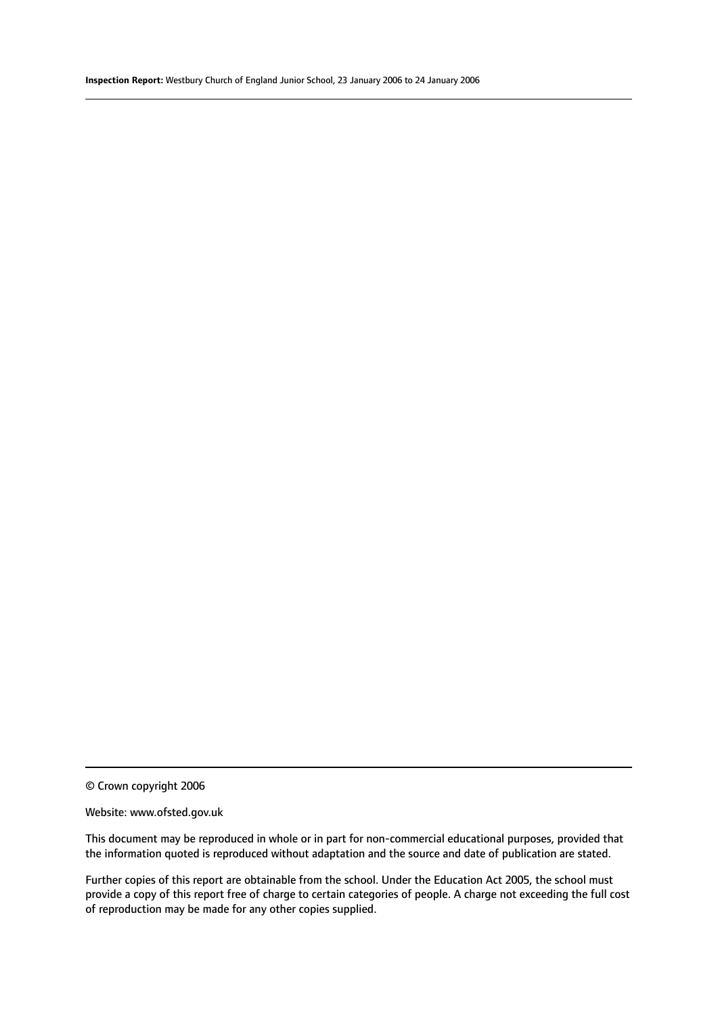#### Website: www.ofsted.gov.uk

This document may be reproduced in whole or in part for non-commercial educational purposes, provided that the information quoted is reproduced without adaptation and the source and date of publication are stated.

Further copies of this report are obtainable from the school. Under the Education Act 2005, the school must provide a copy of this report free of charge to certain categories of people. A charge not exceeding the full cost of reproduction may be made for any other copies supplied.

<sup>©</sup> Crown copyright 2006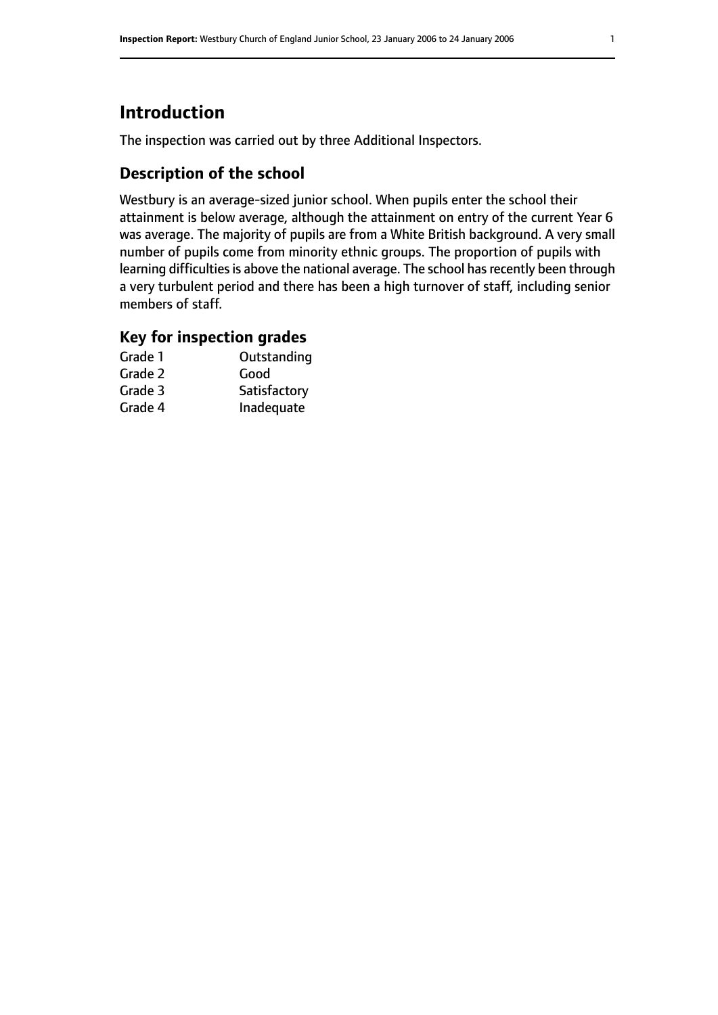# **Introduction**

The inspection was carried out by three Additional Inspectors.

# **Description of the school**

Westbury is an average-sized junior school. When pupils enter the school their attainment is below average, although the attainment on entry of the current Year 6 was average. The majority of pupils are from a White British background. A very small number of pupils come from minority ethnic groups. The proportion of pupils with learning difficulties is above the national average. The school has recently been through a very turbulent period and there has been a high turnover of staff, including senior members of staff.

# **Key for inspection grades**

| Grade 1 | Outstanding  |
|---------|--------------|
| Grade 2 | Good         |
| Grade 3 | Satisfactory |
| Grade 4 | Inadequate   |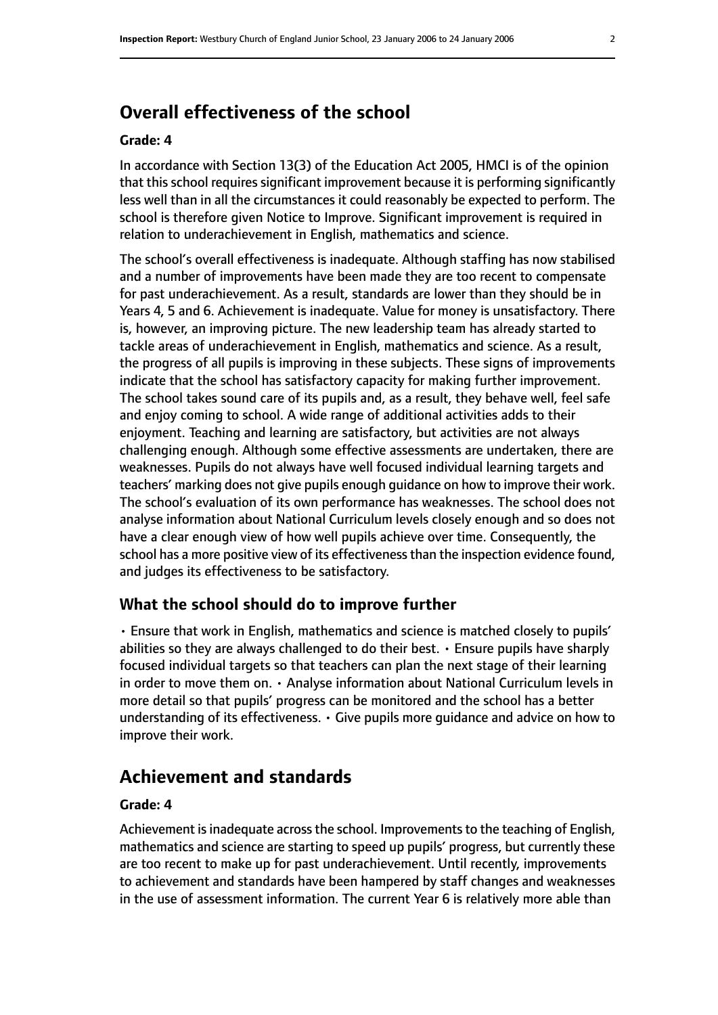# **Overall effectiveness of the school**

#### **Grade: 4**

In accordance with Section 13(3) of the Education Act 2005, HMCI is of the opinion that this school requires significant improvement because it is performing significantly less well than in all the circumstances it could reasonably be expected to perform. The school is therefore given Notice to Improve. Significant improvement is required in relation to underachievement in English, mathematics and science.

The school's overall effectiveness is inadequate. Although staffing has now stabilised and a number of improvements have been made they are too recent to compensate for past underachievement. As a result, standards are lower than they should be in Years 4, 5 and 6. Achievement is inadequate. Value for money is unsatisfactory. There is, however, an improving picture. The new leadership team has already started to tackle areas of underachievement in English, mathematics and science. As a result, the progress of all pupils is improving in these subjects. These signs of improvements indicate that the school has satisfactory capacity for making further improvement. The school takes sound care of its pupils and, as a result, they behave well, feel safe and enjoy coming to school. A wide range of additional activities adds to their enjoyment. Teaching and learning are satisfactory, but activities are not always challenging enough. Although some effective assessments are undertaken, there are weaknesses. Pupils do not always have well focused individual learning targets and teachers' marking does not give pupils enough guidance on how to improve their work. The school's evaluation of its own performance has weaknesses. The school does not analyse information about National Curriculum levels closely enough and so does not have a clear enough view of how well pupils achieve over time. Consequently, the school has a more positive view of its effectiveness than the inspection evidence found, and judges its effectiveness to be satisfactory.

#### **What the school should do to improve further**

• Ensure that work in English, mathematics and science is matched closely to pupils' abilities so they are always challenged to do their best.  $\cdot$  Ensure pupils have sharply focused individual targets so that teachers can plan the next stage of their learning in order to move them on. • Analyse information about National Curriculum levels in more detail so that pupils' progress can be monitored and the school has a better understanding of its effectiveness. • Give pupils more guidance and advice on how to improve their work.

# **Achievement and standards**

#### **Grade: 4**

Achievement is inadequate across the school. Improvements to the teaching of English, mathematics and science are starting to speed up pupils' progress, but currently these are too recent to make up for past underachievement. Until recently, improvements to achievement and standards have been hampered by staff changes and weaknesses in the use of assessment information. The current Year 6 is relatively more able than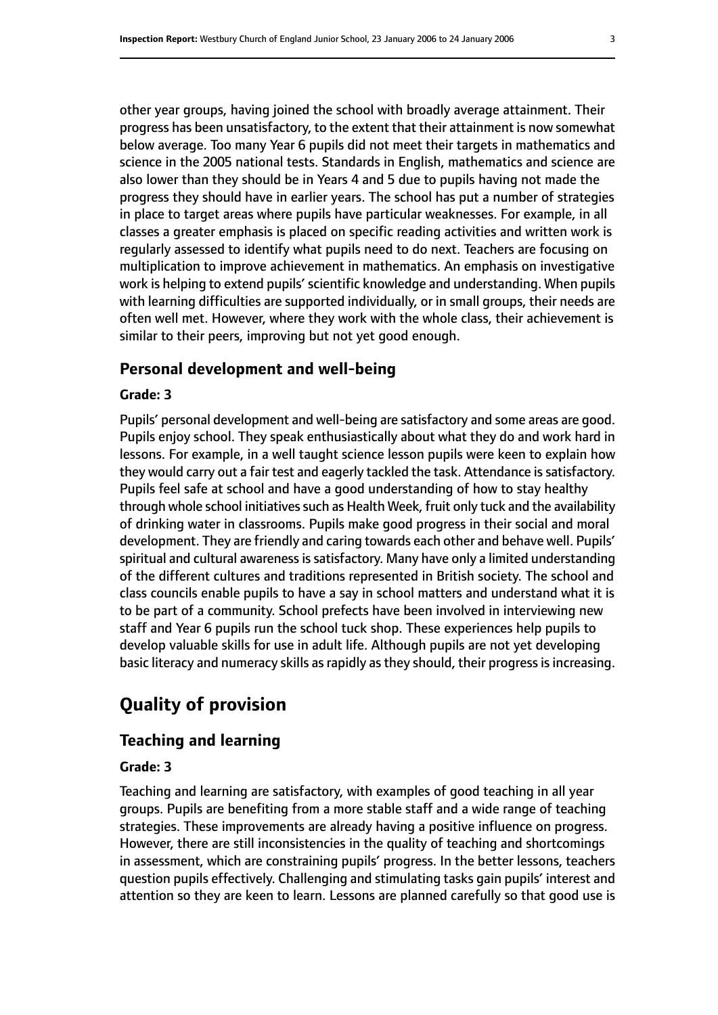other year groups, having joined the school with broadly average attainment. Their progress has been unsatisfactory, to the extent that their attainment is now somewhat below average. Too many Year 6 pupils did not meet their targets in mathematics and science in the 2005 national tests. Standards in English, mathematics and science are also lower than they should be in Years 4 and 5 due to pupils having not made the progress they should have in earlier years. The school has put a number of strategies in place to target areas where pupils have particular weaknesses. For example, in all classes a greater emphasis is placed on specific reading activities and written work is regularly assessed to identify what pupils need to do next. Teachers are focusing on multiplication to improve achievement in mathematics. An emphasis on investigative work is helping to extend pupils' scientific knowledge and understanding. When pupils with learning difficulties are supported individually, or in small groups, their needs are often well met. However, where they work with the whole class, their achievement is similar to their peers, improving but not yet good enough.

#### **Personal development and well-being**

#### **Grade: 3**

Pupils' personal development and well-being are satisfactory and some areas are good. Pupils enjoy school. They speak enthusiastically about what they do and work hard in lessons. For example, in a well taught science lesson pupils were keen to explain how they would carry out a fair test and eagerly tackled the task. Attendance is satisfactory. Pupils feel safe at school and have a good understanding of how to stay healthy through whole school initiatives such as Health Week, fruit only tuck and the availability of drinking water in classrooms. Pupils make good progress in their social and moral development. They are friendly and caring towards each other and behave well. Pupils' spiritual and cultural awareness is satisfactory. Many have only a limited understanding of the different cultures and traditions represented in British society. The school and class councils enable pupils to have a say in school matters and understand what it is to be part of a community. School prefects have been involved in interviewing new staff and Year 6 pupils run the school tuck shop. These experiences help pupils to develop valuable skills for use in adult life. Although pupils are not yet developing basic literacy and numeracy skills as rapidly as they should, their progress is increasing.

# **Quality of provision**

#### **Teaching and learning**

#### **Grade: 3**

Teaching and learning are satisfactory, with examples of good teaching in all year groups. Pupils are benefiting from a more stable staff and a wide range of teaching strategies. These improvements are already having a positive influence on progress. However, there are still inconsistencies in the quality of teaching and shortcomings in assessment, which are constraining pupils' progress. In the better lessons, teachers question pupils effectively. Challenging and stimulating tasks gain pupils' interest and attention so they are keen to learn. Lessons are planned carefully so that good use is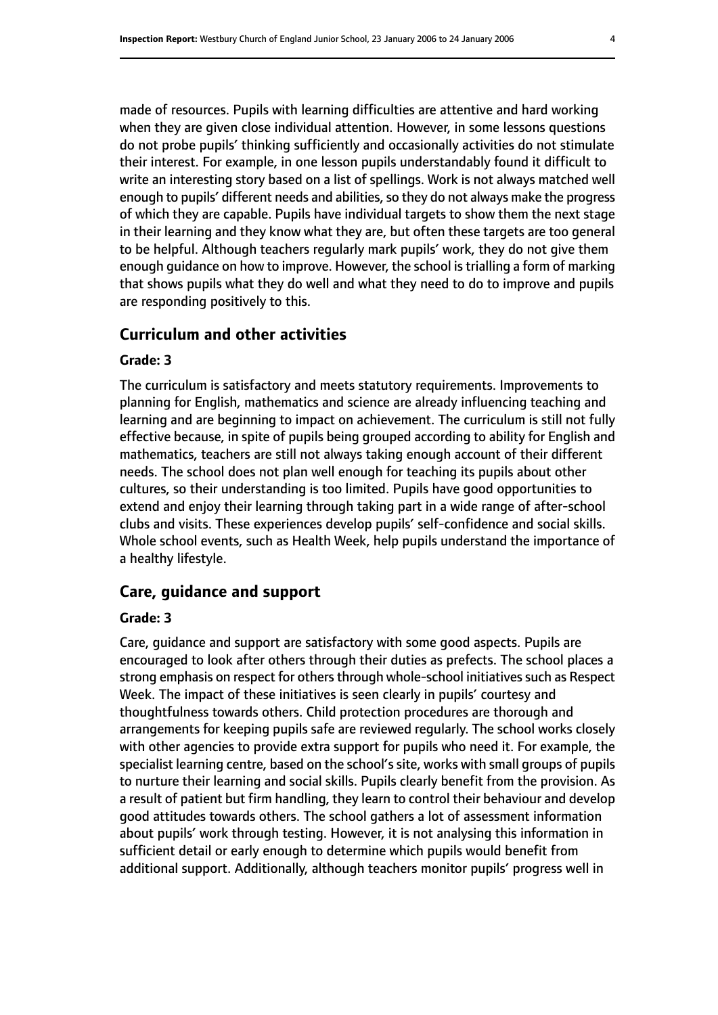made of resources. Pupils with learning difficulties are attentive and hard working when they are given close individual attention. However, in some lessons questions do not probe pupils' thinking sufficiently and occasionally activities do not stimulate their interest. For example, in one lesson pupils understandably found it difficult to write an interesting story based on a list of spellings. Work is not always matched well enough to pupils' different needs and abilities, so they do not always make the progress of which they are capable. Pupils have individual targets to show them the next stage in their learning and they know what they are, but often these targets are too general to be helpful. Although teachers regularly mark pupils' work, they do not give them enough guidance on how to improve. However, the school is trialling a form of marking that shows pupils what they do well and what they need to do to improve and pupils are responding positively to this.

#### **Curriculum and other activities**

#### **Grade: 3**

The curriculum is satisfactory and meets statutory requirements. Improvements to planning for English, mathematics and science are already influencing teaching and learning and are beginning to impact on achievement. The curriculum is still not fully effective because, in spite of pupils being grouped according to ability for English and mathematics, teachers are still not always taking enough account of their different needs. The school does not plan well enough for teaching its pupils about other cultures, so their understanding is too limited. Pupils have good opportunities to extend and enjoy their learning through taking part in a wide range of after-school clubs and visits. These experiences develop pupils' self-confidence and social skills. Whole school events, such as Health Week, help pupils understand the importance of a healthy lifestyle.

#### **Care, guidance and support**

#### **Grade: 3**

Care, guidance and support are satisfactory with some good aspects. Pupils are encouraged to look after others through their duties as prefects. The school places a strong emphasis on respect for others through whole-school initiatives such as Respect Week. The impact of these initiatives is seen clearly in pupils' courtesy and thoughtfulness towards others. Child protection procedures are thorough and arrangements for keeping pupils safe are reviewed regularly. The school works closely with other agencies to provide extra support for pupils who need it. For example, the specialist learning centre, based on the school's site, works with small groups of pupils to nurture their learning and social skills. Pupils clearly benefit from the provision. As a result of patient but firm handling, they learn to control their behaviour and develop good attitudes towards others. The school gathers a lot of assessment information about pupils' work through testing. However, it is not analysing this information in sufficient detail or early enough to determine which pupils would benefit from additional support. Additionally, although teachers monitor pupils' progress well in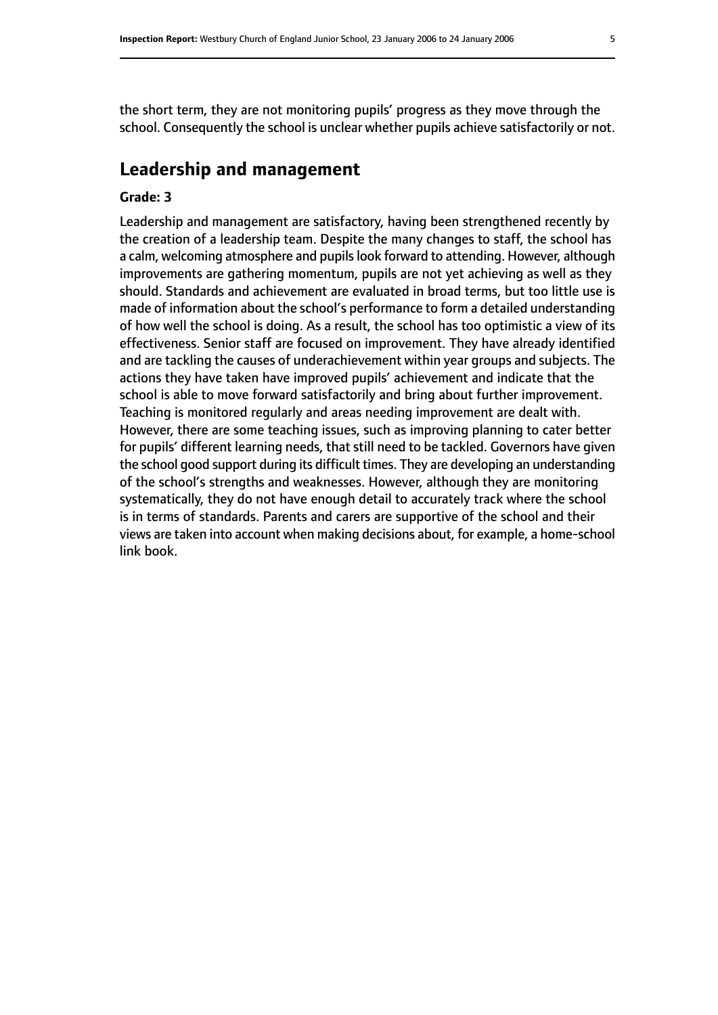the short term, they are not monitoring pupils' progress as they move through the school. Consequently the school is unclear whether pupils achieve satisfactorily or not.

# **Leadership and management**

#### **Grade: 3**

Leadership and management are satisfactory, having been strengthened recently by the creation of a leadership team. Despite the many changes to staff, the school has a calm, welcoming atmosphere and pupils look forward to attending. However, although improvements are gathering momentum, pupils are not yet achieving as well as they should. Standards and achievement are evaluated in broad terms, but too little use is made of information about the school's performance to form a detailed understanding of how well the school is doing. As a result, the school has too optimistic a view of its effectiveness. Senior staff are focused on improvement. They have already identified and are tackling the causes of underachievement within year groups and subjects. The actions they have taken have improved pupils' achievement and indicate that the school is able to move forward satisfactorily and bring about further improvement. Teaching is monitored regularly and areas needing improvement are dealt with. However, there are some teaching issues, such as improving planning to cater better for pupils' different learning needs, that still need to be tackled. Governors have given the school good support during its difficult times. They are developing an understanding of the school's strengths and weaknesses. However, although they are monitoring systematically, they do not have enough detail to accurately track where the school is in terms of standards. Parents and carers are supportive of the school and their views are taken into account when making decisions about, for example, a home-school link book.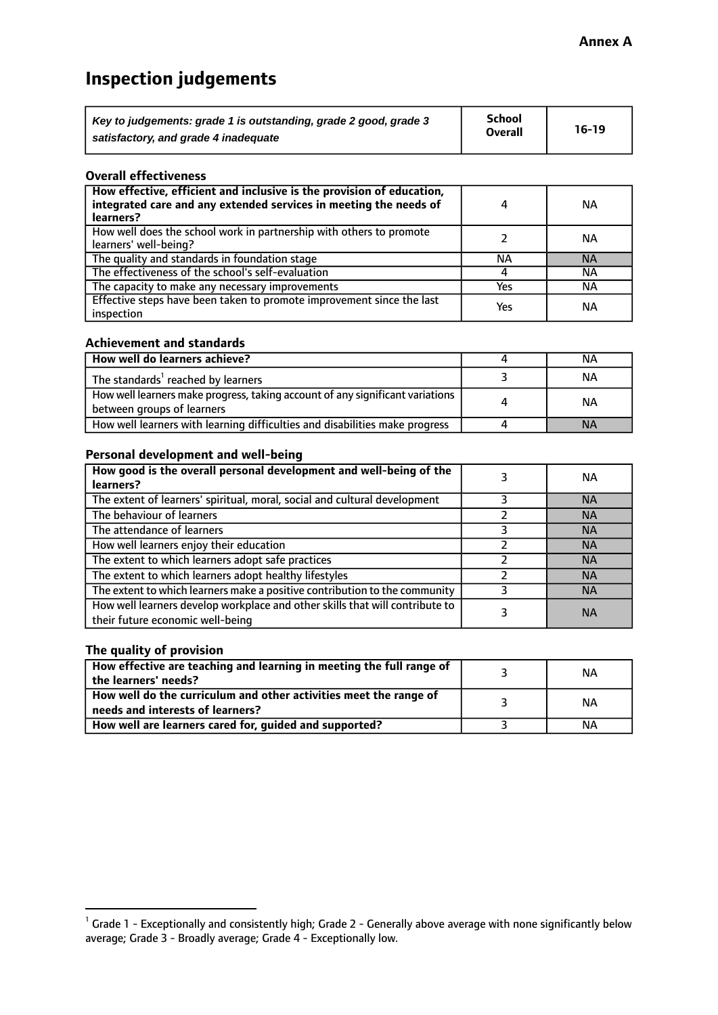# **Inspection judgements**

| Key to judgements: grade 1 is outstanding, grade 2 good, grade 3 | School         | $16-19$ |
|------------------------------------------------------------------|----------------|---------|
| satisfactory, and grade 4 inadequate                             | <b>Overall</b> |         |

#### **Overall effectiveness**

| How effective, efficient and inclusive is the provision of education,<br>integrated care and any extended services in meeting the needs of<br>learners? | 4   | <b>NA</b> |
|---------------------------------------------------------------------------------------------------------------------------------------------------------|-----|-----------|
| How well does the school work in partnership with others to promote<br>learners' well-being?                                                            |     | NА        |
| The quality and standards in foundation stage                                                                                                           | ΝA  | <b>NA</b> |
| The effectiveness of the school's self-evaluation                                                                                                       |     | ΝA        |
| The capacity to make any necessary improvements                                                                                                         | Yes | NА        |
| Effective steps have been taken to promote improvement since the last<br>inspection                                                                     | Yes | <b>NA</b> |

#### **Achievement and standards**

| How well do learners achieve?                                                                               | NА        |
|-------------------------------------------------------------------------------------------------------------|-----------|
| The standards <sup>1</sup> reached by learners                                                              | ΝA        |
| How well learners make progress, taking account of any significant variations<br>between groups of learners | <b>NA</b> |
| How well learners with learning difficulties and disabilities make progress                                 | <b>NA</b> |

#### **Personal development and well-being**

| How good is the overall personal development and well-being of the<br>learners?                                  | ΝA        |
|------------------------------------------------------------------------------------------------------------------|-----------|
| The extent of learners' spiritual, moral, social and cultural development                                        | <b>NA</b> |
| The behaviour of learners                                                                                        | <b>NA</b> |
| The attendance of learners                                                                                       | <b>NA</b> |
| How well learners enjoy their education                                                                          | <b>NA</b> |
| The extent to which learners adopt safe practices                                                                | <b>NA</b> |
| The extent to which learners adopt healthy lifestyles                                                            | <b>NA</b> |
| The extent to which learners make a positive contribution to the community                                       | <b>NA</b> |
| How well learners develop workplace and other skills that will contribute to<br>their future economic well-being | <b>NA</b> |

### **The quality of provision**

| How effective are teaching and learning in meeting the full range of<br>the learners' needs?          | ΝA |
|-------------------------------------------------------------------------------------------------------|----|
| How well do the curriculum and other activities meet the range of<br>needs and interests of learners? | ΝA |
| How well are learners cared for, guided and supported?                                                | NА |

 $^1$  Grade 1 - Exceptionally and consistently high; Grade 2 - Generally above average with none significantly below average; Grade 3 - Broadly average; Grade 4 - Exceptionally low.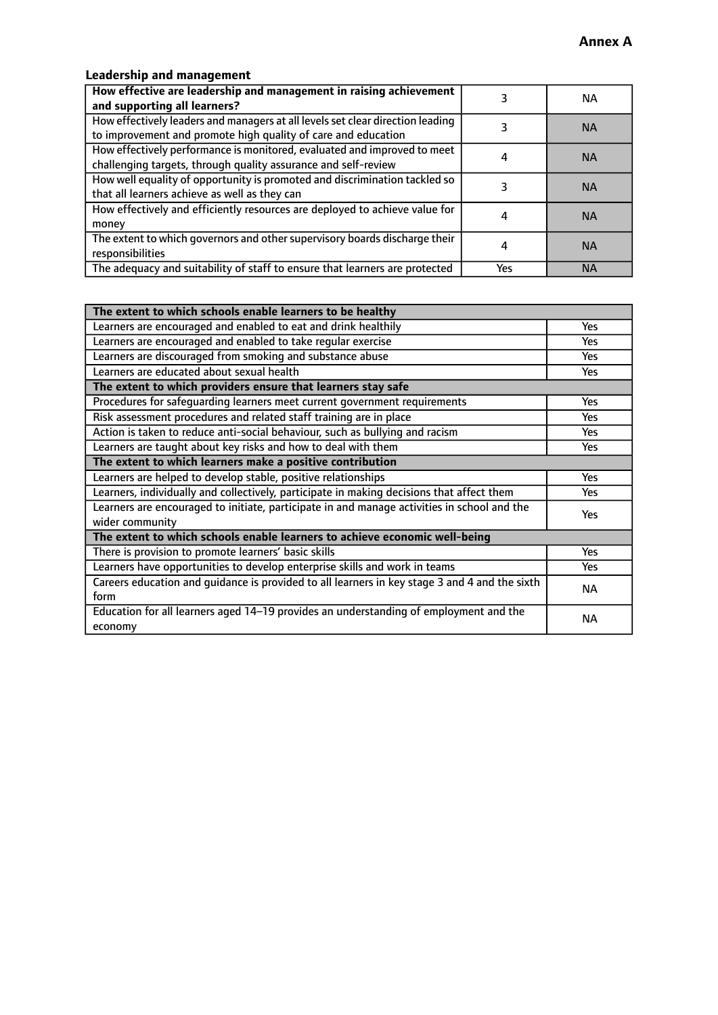# **Leadership and management**

| How effective are leadership and management in raising achievement<br>and supporting all learners?                                              |     | NA.       |
|-------------------------------------------------------------------------------------------------------------------------------------------------|-----|-----------|
| How effectively leaders and managers at all levels set clear direction leading<br>to improvement and promote high quality of care and education |     | <b>NA</b> |
| How effectively performance is monitored, evaluated and improved to meet<br>challenging targets, through quality assurance and self-review      |     | <b>NA</b> |
| How well equality of opportunity is promoted and discrimination tackled so<br>that all learners achieve as well as they can                     |     | <b>NA</b> |
| How effectively and efficiently resources are deployed to achieve value for<br>money                                                            |     | <b>NA</b> |
| The extent to which governors and other supervisory boards discharge their<br>responsibilities                                                  |     | <b>NA</b> |
| The adequacy and suitability of staff to ensure that learners are protected                                                                     | Yes | <b>NA</b> |

| The extent to which schools enable learners to be healthy                                     |            |  |
|-----------------------------------------------------------------------------------------------|------------|--|
| Learners are encouraged and enabled to eat and drink healthily                                | Yes        |  |
| Learners are encouraged and enabled to take regular exercise                                  | <b>Yes</b> |  |
| Learners are discouraged from smoking and substance abuse                                     | Yes        |  |
| Learners are educated about sexual health                                                     | Yes        |  |
| The extent to which providers ensure that learners stay safe                                  |            |  |
| Procedures for safequarding learners meet current government requirements                     | Yes        |  |
| Risk assessment procedures and related staff training are in place                            | <b>Yes</b> |  |
| Action is taken to reduce anti-social behaviour, such as bullying and racism                  | <b>Yes</b> |  |
| Learners are taught about key risks and how to deal with them                                 | Yes        |  |
| The extent to which learners make a positive contribution                                     |            |  |
| Learners are helped to develop stable, positive relationships                                 | Yes        |  |
| Learners, individually and collectively, participate in making decisions that affect them     | Yes        |  |
| Learners are encouraged to initiate, participate in and manage activities in school and the   |            |  |
| wider community                                                                               |            |  |
| The extent to which schools enable learners to achieve economic well-being                    |            |  |
| There is provision to promote learners' basic skills                                          | Yes        |  |
| Learners have opportunities to develop enterprise skills and work in teams                    | Yes        |  |
| Careers education and guidance is provided to all learners in key stage 3 and 4 and the sixth | <b>NA</b>  |  |
| form                                                                                          |            |  |
| Education for all learners aged 14-19 provides an understanding of employment and the         | NА         |  |
| economy                                                                                       |            |  |